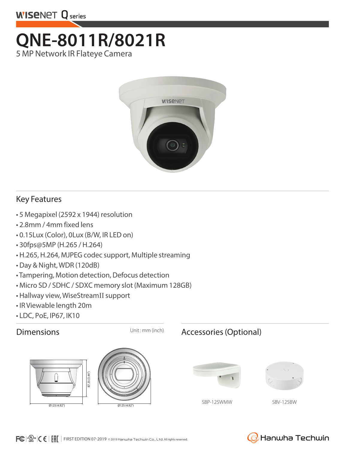

# **QNE-8011R/8021R**  5 MP Network IR Flateye Camera



### Key Features

- 5 Megapixel (2592 x 1944) resolution
- 2.8mm / 4mm fixed lens
- 0.15Lux (Color), 0Lux (B/W, IR LED on)
- 30fps@5MP (H.265 / H.264)
- H.265, H.264, MJPEG codec support, Multiple streaming
- Day & Night, WDR (120dB)
- Tampering, Motion detection, Defocus detection
- Micro SD / SDHC / SDXC memory slot (Maximum 128GB)
- Hallway view, WiseStreamII support
- IR Viewable length 20m
- LDC, PoE, IP67, IK10





### Dimensions Unit: mm (inch) Accessories (Optional)





SBP-125WMW SBV-125BW

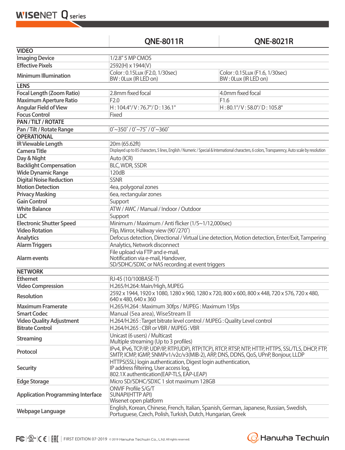**WISENET Q** series

## **QNE-8011R QNE-8021R**

| <b>VIDEO</b>                                                                                                          |                                                                                                                                                                                       |                                                        |  |
|-----------------------------------------------------------------------------------------------------------------------|---------------------------------------------------------------------------------------------------------------------------------------------------------------------------------------|--------------------------------------------------------|--|
| <b>Imaging Device</b>                                                                                                 | 1/2.8" 5 MP CMOS                                                                                                                                                                      |                                                        |  |
| <b>Effective Pixels</b>                                                                                               | 2592(H) x 1944(V)                                                                                                                                                                     |                                                        |  |
| <b>Minimum Illumination</b>                                                                                           | Color: 0.15Lux (F2.0, 1/30sec)<br>BW: 0Lux (IR LED on)                                                                                                                                | Color: 0.15Lux (F1.6, 1/30sec)<br>BW: 0Lux (IR LED on) |  |
| <b>LENS</b>                                                                                                           |                                                                                                                                                                                       |                                                        |  |
| <b>Focal Length (Zoom Ratio)</b>                                                                                      | 2.8mm fixed focal                                                                                                                                                                     | 4.0mm fixed focal                                      |  |
| <b>Maximum Aperture Ratio</b>                                                                                         | F2.0                                                                                                                                                                                  | F1.6                                                   |  |
| <b>Angular Field of View</b>                                                                                          | $H: 104.4^{\circ}/V: 76.7^{\circ}/D: 136.1^{\circ}$                                                                                                                                   | H:80.1°/V:58.0°/D:105.8°                               |  |
| <b>Focus Control</b>                                                                                                  | Fixed                                                                                                                                                                                 |                                                        |  |
| PAN / TILT / ROTATE                                                                                                   |                                                                                                                                                                                       |                                                        |  |
| $0^{\circ}$ ~350 $^{\circ}$ / 0 $^{\circ}$ ~75 $^{\circ}$ / 0 $^{\circ}$ ~360 $^{\circ}$<br>Pan / Tilt / Rotate Range |                                                                                                                                                                                       |                                                        |  |
| <b>OPERATIONAL</b>                                                                                                    |                                                                                                                                                                                       |                                                        |  |
| <b>IR Viewable Length</b>                                                                                             | 20m (65.62ft)                                                                                                                                                                         |                                                        |  |
| <b>Camera Title</b>                                                                                                   | Displayed up to 85 characters, 5 lines, English / Numeric / Special & International characters, 6 colors, Transparency, Auto scale by resolution                                      |                                                        |  |
| Day & Night                                                                                                           | Auto (ICR)                                                                                                                                                                            |                                                        |  |
| <b>Backlight Compensation</b>                                                                                         | <b>BLC, WDR, SSDR</b>                                                                                                                                                                 |                                                        |  |
| <b>Wide Dynamic Range</b>                                                                                             | 120dB                                                                                                                                                                                 |                                                        |  |
| <b>Digital Noise Reduction</b>                                                                                        | <b>SSNR</b>                                                                                                                                                                           |                                                        |  |
| <b>Motion Detection</b>                                                                                               | 4ea, polygonal zones                                                                                                                                                                  |                                                        |  |
|                                                                                                                       | 6ea, rectangular zones                                                                                                                                                                |                                                        |  |
| <b>Privacy Masking</b><br><b>Gain Control</b>                                                                         |                                                                                                                                                                                       |                                                        |  |
|                                                                                                                       | Support                                                                                                                                                                               |                                                        |  |
| <b>White Balance</b>                                                                                                  | ATW / AWC / Manual / Indoor / Outdoor                                                                                                                                                 |                                                        |  |
| <b>LDC</b>                                                                                                            | Support                                                                                                                                                                               |                                                        |  |
| <b>Electronic Shutter Speed</b>                                                                                       | Minimum / Maximum / Anti flicker (1/5~1/12,000sec)                                                                                                                                    |                                                        |  |
| <b>Video Rotation</b>                                                                                                 | Flip, Mirror, Hallway view (90°/270°)                                                                                                                                                 |                                                        |  |
| <b>Analytics</b>                                                                                                      | Defocus detection, Directional / Virtual Line detection, Motion detection, Enter/Exit, Tampering                                                                                      |                                                        |  |
| <b>Alarm Triggers</b>                                                                                                 | Analytics, Network disconnect                                                                                                                                                         |                                                        |  |
| <b>Alarm events</b>                                                                                                   | File upload via FTP and e-mail,<br>Notification via e-mail, Handover,<br>SD/SDHC/SDXC or NAS recording at event triggers                                                              |                                                        |  |
| <b>NETWORK</b>                                                                                                        |                                                                                                                                                                                       |                                                        |  |
| <b>Ethernet</b>                                                                                                       | RJ-45 (10/100BASE-T)                                                                                                                                                                  |                                                        |  |
| <b>Video Compression</b>                                                                                              | H.265/H.264: Main/High, MJPEG                                                                                                                                                         |                                                        |  |
| <b>Resolution</b>                                                                                                     | 2592 x 1944, 1920 x 1080, 1280 x 960, 1280 x 720, 800 x 600, 800 x 448, 720 x 576, 720 x 480,<br>640 x 480, 640 x 360                                                                 |                                                        |  |
| <b>Maximum Framerate</b>                                                                                              | H.265/H.264: Maximum 30fps / MJPEG: Maximum 15fps                                                                                                                                     |                                                        |  |
| <b>Smart Codec</b>                                                                                                    | Manual (5ea area), WiseStream II                                                                                                                                                      |                                                        |  |
| <b>Video Quality Adjustment</b>                                                                                       | H.264/H.265 : Target bitrate level control / MJPEG : Quality Level control                                                                                                            |                                                        |  |
| <b>Bitrate Control</b>                                                                                                | H.264/H.265: CBR or VBR / MJPEG: VBR                                                                                                                                                  |                                                        |  |
| <b>Streaming</b>                                                                                                      | Unicast (6 users) / Multicast<br>Multiple streaming (Up to 3 profiles)                                                                                                                |                                                        |  |
| Protocol                                                                                                              | IPv4, IPv6, TCP/IP, UDP/IP, RTP(UDP), RTP(TCP), RTCP, RTSP, NTP, HTTP, HTTPS, SSL/TLS, DHCP, FTP,<br>SMTP, ICMP, IGMP, SNMPv1/v2c/v3(MIB-2), ARP, DNS, DDNS, QoS, UPnP, Bonjour, LLDP |                                                        |  |
| <b>Security</b>                                                                                                       | HTTPS(SSL) login authentication, Digest login authentication,<br>IP address filtering, User access log,<br>802.1X authentication (EAP-TLS, EAP-LEAP)                                  |                                                        |  |
| <b>Edge Storage</b>                                                                                                   | Micro SD/SDHC/SDXC 1 slot maximum 128GB                                                                                                                                               |                                                        |  |
| <b>Application Programming Interface</b>                                                                              | ONVIF Profile S/G/T<br><b>SUNAPI(HTTP API)</b><br>Wisenet open platform                                                                                                               |                                                        |  |
| <b>Webpage Language</b>                                                                                               | English, Korean, Chinese, French, Italian, Spanish, German, Japanese, Russian, Swedish,<br>Portuguese, Czech, Polish, Turkish, Dutch, Hungarian, Greek                                |                                                        |  |